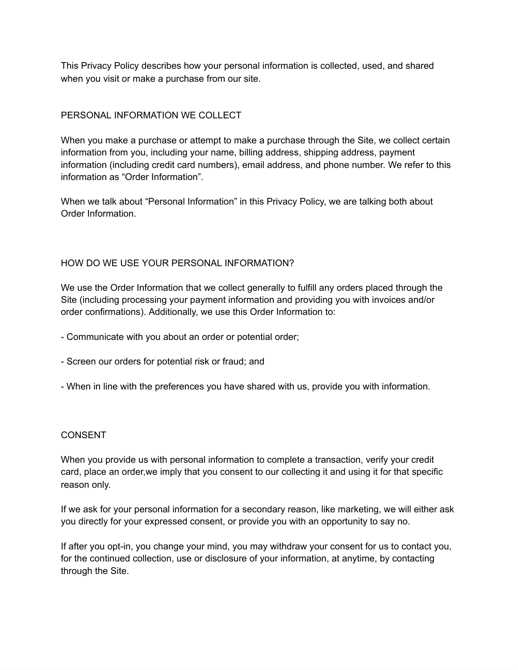This Privacy Policy describes how your personal information is collected, used, and shared when you visit or make a purchase from our site.

# PERSONAL INFORMATION WE COLLECT

When you make a purchase or attempt to make a purchase through the Site, we collect certain information from you, including your name, billing address, shipping address, payment information (including credit card numbers), email address, and phone number. We refer to this information as "Order Information".

When we talk about "Personal Information" in this Privacy Policy, we are talking both about Order Information.

# HOW DO WE USE YOUR PERSONAL INFORMATION?

We use the Order Information that we collect generally to fulfill any orders placed through the Site (including processing your payment information and providing you with invoices and/or order confirmations). Additionally, we use this Order Information to:

- Communicate with you about an order or potential order;
- Screen our orders for potential risk or fraud; and
- When in line with the preferences you have shared with us, provide you with information.

## **CONSENT**

When you provide us with personal information to complete a transaction, verify your credit card, place an order,we imply that you consent to our collecting it and using it for that specific reason only.

If we ask for your personal information for a secondary reason, like marketing, we will either ask you directly for your expressed consent, or provide you with an opportunity to say no.

If after you opt-in, you change your mind, you may withdraw your consent for us to contact you, for the continued collection, use or disclosure of your information, at anytime, by contacting through the Site.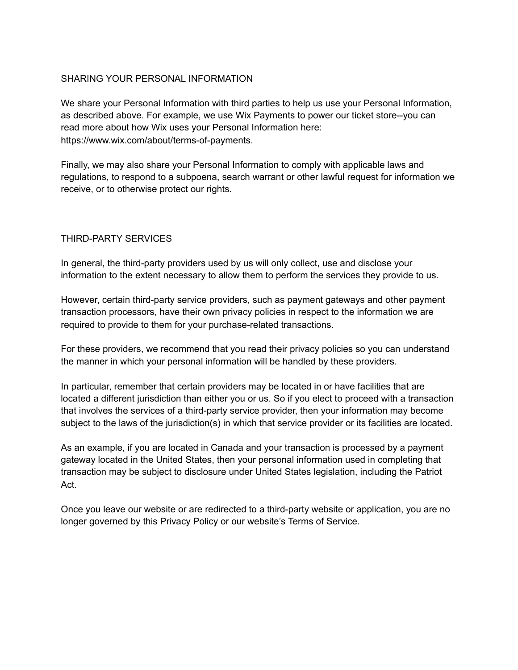## SHARING YOUR PERSONAL INFORMATION

We share your Personal Information with third parties to help us use your Personal Information, as described above. For example, we use Wix Payments to power our ticket store--you can read more about how Wix uses your Personal Information here: https://www.wix.com/about/terms-of-payments.

Finally, we may also share your Personal Information to comply with applicable laws and regulations, to respond to a subpoena, search warrant or other lawful request for information we receive, or to otherwise protect our rights.

## THIRD-PARTY SERVICES

In general, the third-party providers used by us will only collect, use and disclose your information to the extent necessary to allow them to perform the services they provide to us.

However, certain third-party service providers, such as payment gateways and other payment transaction processors, have their own privacy policies in respect to the information we are required to provide to them for your purchase-related transactions.

For these providers, we recommend that you read their privacy policies so you can understand the manner in which your personal information will be handled by these providers.

In particular, remember that certain providers may be located in or have facilities that are located a different jurisdiction than either you or us. So if you elect to proceed with a transaction that involves the services of a third-party service provider, then your information may become subject to the laws of the jurisdiction(s) in which that service provider or its facilities are located.

As an example, if you are located in Canada and your transaction is processed by a payment gateway located in the United States, then your personal information used in completing that transaction may be subject to disclosure under United States legislation, including the Patriot Act.

Once you leave our website or are redirected to a third-party website or application, you are no longer governed by this Privacy Policy or our website's Terms of Service.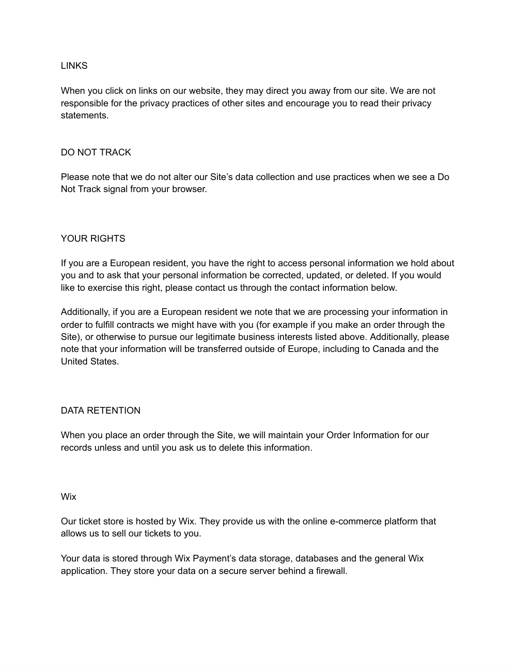#### LINKS

When you click on links on our website, they may direct you away from our site. We are not responsible for the privacy practices of other sites and encourage you to read their privacy statements.

#### DO NOT TRACK

Please note that we do not alter our Site's data collection and use practices when we see a Do Not Track signal from your browser.

## YOUR RIGHTS

If you are a European resident, you have the right to access personal information we hold about you and to ask that your personal information be corrected, updated, or deleted. If you would like to exercise this right, please contact us through the contact information below.

Additionally, if you are a European resident we note that we are processing your information in order to fulfill contracts we might have with you (for example if you make an order through the Site), or otherwise to pursue our legitimate business interests listed above. Additionally, please note that your information will be transferred outside of Europe, including to Canada and the United States.

## DATA RETENTION

When you place an order through the Site, we will maintain your Order Information for our records unless and until you ask us to delete this information.

#### Wix

Our ticket store is hosted by Wix. They provide us with the online e-commerce platform that allows us to sell our tickets to you.

Your data is stored through Wix Payment's data storage, databases and the general Wix application. They store your data on a secure server behind a firewall.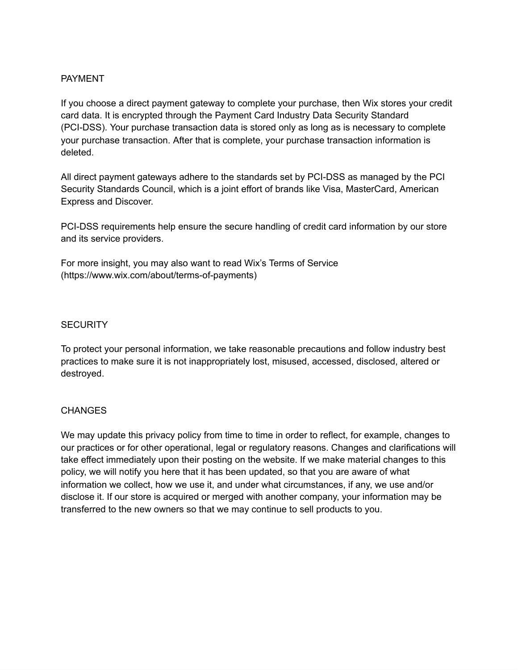## PAYMENT

If you choose a direct payment gateway to complete your purchase, then Wix stores your credit card data. It is encrypted through the Payment Card Industry Data Security Standard (PCI-DSS). Your purchase transaction data is stored only as long as is necessary to complete your purchase transaction. After that is complete, your purchase transaction information is deleted.

All direct payment gateways adhere to the standards set by PCI-DSS as managed by the PCI Security Standards Council, which is a joint effort of brands like Visa, MasterCard, American Express and Discover.

PCI-DSS requirements help ensure the secure handling of credit card information by our store and its service providers.

For more insight, you may also want to read Wix's Terms of Service (https://www.wix.com/about/terms-of-payments)

#### **SECURITY**

To protect your personal information, we take reasonable precautions and follow industry best practices to make sure it is not inappropriately lost, misused, accessed, disclosed, altered or destroyed.

## **CHANGES**

We may update this privacy policy from time to time in order to reflect, for example, changes to our practices or for other operational, legal or regulatory reasons. Changes and clarifications will take effect immediately upon their posting on the website. If we make material changes to this policy, we will notify you here that it has been updated, so that you are aware of what information we collect, how we use it, and under what circumstances, if any, we use and/or disclose it. If our store is acquired or merged with another company, your information may be transferred to the new owners so that we may continue to sell products to you.